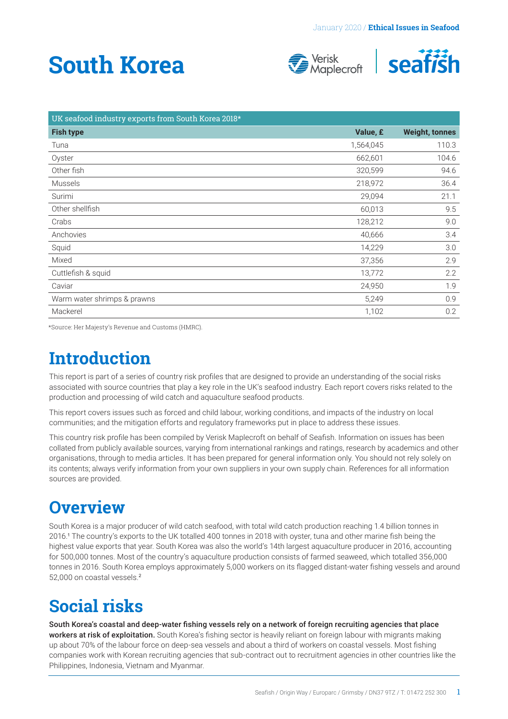# <span id="page-0-0"></span>**South Korea**





| UK seafood industry exports from South Korea 2018* |           |                       |
|----------------------------------------------------|-----------|-----------------------|
| <b>Fish type</b>                                   | Value, £  | <b>Weight, tonnes</b> |
| Tuna                                               | 1,564,045 | 110.3                 |
| Oyster                                             | 662,601   | 104.6                 |
| Other fish                                         | 320,599   | 94.6                  |
| <b>Mussels</b>                                     | 218,972   | 36.4                  |
| Surimi                                             | 29,094    | 21.1                  |
| Other shellfish                                    | 60,013    | 9.5                   |
| Crabs                                              | 128,212   | 9.0                   |
| Anchovies                                          | 40,666    | 3.4                   |
| Squid                                              | 14,229    | 3.0                   |
| Mixed                                              | 37,356    | 2.9                   |
| Cuttlefish & squid                                 | 13,772    | 2.2                   |
| Caviar                                             | 24,950    | 1.9                   |
| Warm water shrimps & prawns                        | 5,249     | 0.9                   |
| Mackerel                                           | 1,102     | 0.2                   |

\*Source: Her Majesty's Revenue and Customs (HMRC).

### **Introduction**

This report is part of a series of country risk profiles that are designed to provide an understanding of the social risks associated with source countries that play a key role in the UK's seafood industry. Each report covers risks related to the production and processing of wild catch and aquaculture seafood products.

This report covers issues such as forced and child labour, working conditions, and impacts of the industry on local communities; and the mitigation efforts and regulatory frameworks put in place to address these issues.

This country risk profile has been compiled by Verisk Maplecroft on behalf of Seafish. Information on issues has been collated from publicly available sources, varying from international rankings and ratings, research by academics and other organisations, through to media articles. It has been prepared for general information only. You should not rely solely on its contents; always verify information from your own suppliers in your own supply chain. References for all information sources are provided.

### **Overview**

South Korea is a major producer of wild catch seafood, with total wild catch production reaching 1.4 billion tonnes in 2016.[1](#page-4-0) The country's exports to the UK totalled 400 tonnes in 2018 with oyster, tuna and other marine fish being the highest value exports that year. South Korea was also the world's 14th largest aquaculture producer in 2016, accounting for 500,000 tonnes. Most of the country's aquaculture production consists of farmed seaweed, which totalled 356,000 tonnes in 2016. South Korea employs approximately 5,000 workers on its flagged distant-water fishing vessels and around 52,000 on coastal vessels.[2](#page-4-0)

### **Social risks**

South Korea's coastal and deep-water fishing vessels rely on a network of foreign recruiting agencies that place workers at risk of exploitation. South Korea's fishing sector is heavily reliant on foreign labour with migrants making up about 70% of the labour force on deep-sea vessels and about a third of workers on coastal vessels. Most fishing companies work with Korean recruiting agencies that sub-contract out to recruitment agencies in other countries like the Philippines, Indonesia, Vietnam and Myanmar.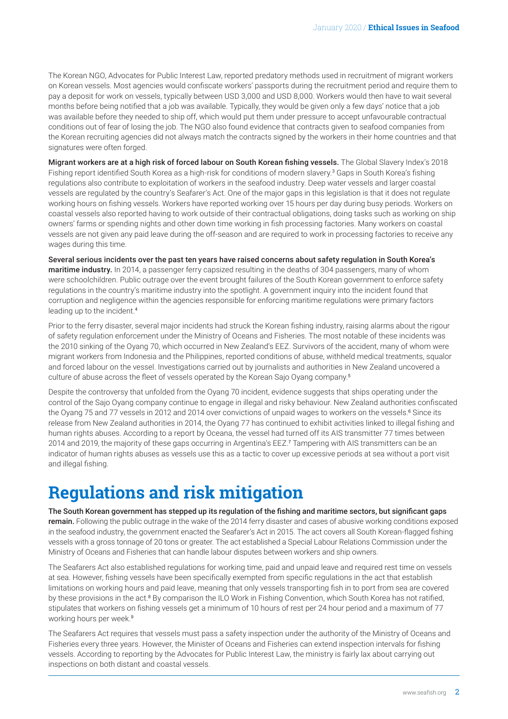<span id="page-1-0"></span>The Korean NGO, Advocates for Public Interest Law, reported predatory methods used in recruitment of migrant workers on Korean vessels. Most agencies would confiscate workers' passports during the recruitment period and require them to pay a deposit for work on vessels, typically between USD 3,000 and USD 8,000. Workers would then have to wait several months before being notified that a job was available. Typically, they would be given only a few days' notice that a job was available before they needed to ship off, which would put them under pressure to accept unfavourable contractual conditions out of fear of losing the job. The NGO also found evidence that contracts given to seafood companies from the Korean recruiting agencies did not always match the contracts signed by the workers in their home countries and that signatures were often forged.

Migrant workers are at a high risk of forced labour on South Korean fishing vessels. The Global Slavery Index's 2018 Fishing report identified South Korea as a high-risk for conditions of modern slavery.<sup>[3](#page-4-0)</sup> Gaps in South Korea's fishing regulations also contribute to exploitation of workers in the seafood industry. Deep water vessels and larger coastal vessels are regulated by the country's Seafarer's Act. One of the major gaps in this legislation is that it does not regulate working hours on fishing vessels. Workers have reported working over 15 hours per day during busy periods. Workers on coastal vessels also reported having to work outside of their contractual obligations, doing tasks such as working on ship owners' farms or spending nights and other down time working in fish processing factories. Many workers on coastal vessels are not given any paid leave during the off-season and are required to work in processing factories to receive any wages during this time.

Several serious incidents over the past ten years have raised concerns about safety regulation in South Korea's maritime industry. In 2014, a passenger ferry capsized resulting in the deaths of 304 passengers, many of whom were schoolchildren. Public outrage over the event brought failures of the South Korean government to enforce safety regulations in the country's maritime industry into the spotlight. A government inquiry into the incident found that corruption and negligence within the agencies responsible for enforcing maritime regulations were primary factors leading up to the incident.[4](#page-4-0)

Prior to the ferry disaster, several major incidents had struck the Korean fishing industry, raising alarms about the rigour of safety regulation enforcement under the Ministry of Oceans and Fisheries. The most notable of these incidents was the 2010 sinking of the Oyang 70, which occurred in New Zealand's EEZ. Survivors of the accident, many of whom were migrant workers from Indonesia and the Philippines, reported conditions of abuse, withheld medical treatments, squalor and forced labour on the vessel. Investigations carried out by journalists and authorities in New Zealand uncovered a culture of abuse across the fleet of vessels operated by the Korean Sajo Oyang company.[5](#page-4-0)

Despite the controversy that unfolded from the Oyang 70 incident, evidence suggests that ships operating under the control of the Sajo Oyang company continue to engage in illegal and risky behaviour. New Zealand authorities confiscated the Oyang 75 and 77 vessels in 2012 and 2014 over convictions of unpaid wages to workers on the vessels.<sup>[6](#page-4-0)</sup> Since its release from New Zealand authorities in 2014, the Oyang 77 has continued to exhibit activities linked to illegal fishing and human rights abuses. According to a report by Oceana, the vessel had turned off its AIS transmitter 77 times between 2014 and 2019, the majority of these gaps occurring in Argentina's EEZ.[7](#page-4-0) Tampering with AIS transmitters can be an indicator of human rights abuses as vessels use this as a tactic to cover up excessive periods at sea without a port visit and illegal fishing.

### **Regulations and risk mitigation**

The South Korean government has stepped up its regulation of the fishing and maritime sectors, but significant gaps remain. Following the public outrage in the wake of the 2014 ferry disaster and cases of abusive working conditions exposed in the seafood industry, the government enacted the Seafarer's Act in 2015. The act covers all South Korean-flagged fishing vessels with a gross tonnage of 20 tons or greater. The act established a Special Labour Relations Commission under the Ministry of Oceans and Fisheries that can handle labour disputes between workers and ship owners.

The Seafarers Act also established regulations for working time, paid and unpaid leave and required rest time on vessels at sea. However, fishing vessels have been specifically exempted from specific regulations in the act that establish limitations on working hours and paid leave, meaning that only vessels transporting fish in to port from sea are covered by these provisions in the act.<sup>[8](#page-4-0)</sup> By comparison the ILO Work in Fishing Convention, which South Korea has not ratified, stipulates that workers on fishing vessels get a minimum of 10 hours of rest per 24 hour period and a maximum of 77 working hours per week.[9](#page-4-0)

The Seafarers Act requires that vessels must pass a safety inspection under the authority of the Ministry of Oceans and Fisheries every three years. However, the Minister of Oceans and Fisheries can extend inspection intervals for fishing vessels. According to reporting by the Advocates for Public Interest Law, the ministry is fairly lax about carrying out inspections on both distant and coastal vessels.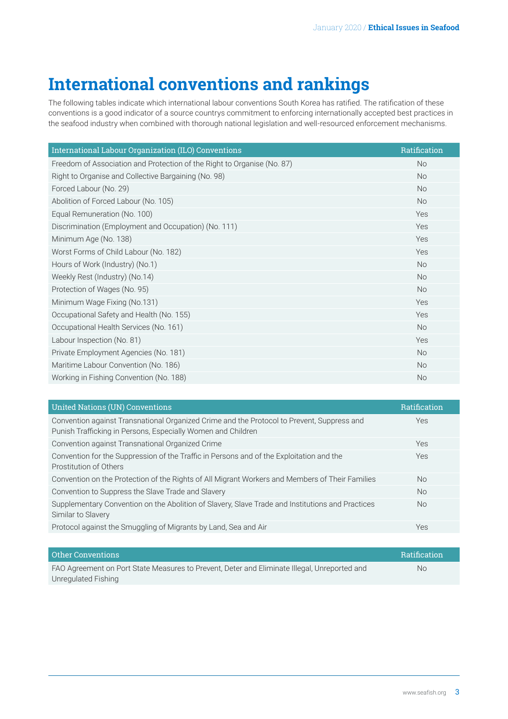## **International conventions and rankings**

The following tables indicate which international labour conventions South Korea has ratified. The ratification of these conventions is a good indicator of a source countrys commitment to enforcing internationally accepted best practices in the seafood industry when combined with thorough national legislation and well-resourced enforcement mechanisms.

| International Labour Organization (ILO) Conventions                     | Ratification   |
|-------------------------------------------------------------------------|----------------|
| Freedom of Association and Protection of the Right to Organise (No. 87) | N <sub>o</sub> |
| Right to Organise and Collective Bargaining (No. 98)                    | <b>No</b>      |
| Forced Labour (No. 29)                                                  | <b>No</b>      |
| Abolition of Forced Labour (No. 105)                                    | <b>No</b>      |
| Equal Remuneration (No. 100)                                            | Yes            |
| Discrimination (Employment and Occupation) (No. 111)                    | Yes            |
| Minimum Age (No. 138)                                                   | Yes            |
| Worst Forms of Child Labour (No. 182)                                   | Yes            |
| Hours of Work (Industry) (No.1)                                         | <b>No</b>      |
| Weekly Rest (Industry) (No.14)                                          | <b>No</b>      |
| Protection of Wages (No. 95)                                            | <b>No</b>      |
| Minimum Wage Fixing (No.131)                                            | Yes            |
| Occupational Safety and Health (No. 155)                                | Yes            |
| Occupational Health Services (No. 161)                                  | <b>No</b>      |
| Labour Inspection (No. 81)                                              | Yes            |
| Private Employment Agencies (No. 181)                                   | <b>No</b>      |
| Maritime Labour Convention (No. 186)                                    | No             |
| Working in Fishing Convention (No. 188)                                 | <b>No</b>      |

| <b>United Nations (UN) Conventions</b>                                                                                                                     | <b>Ratification</b> |
|------------------------------------------------------------------------------------------------------------------------------------------------------------|---------------------|
| Convention against Transnational Organized Crime and the Protocol to Prevent, Suppress and<br>Punish Trafficking in Persons, Especially Women and Children | Yes                 |
| Convention against Transnational Organized Crime                                                                                                           | <b>Yes</b>          |
| Convention for the Suppression of the Traffic in Persons and of the Exploitation and the<br>Prostitution of Others                                         | Yes                 |
| Convention on the Protection of the Rights of All Migrant Workers and Members of Their Families                                                            | <b>No</b>           |
| Convention to Suppress the Slave Trade and Slavery                                                                                                         | <b>No</b>           |
| Supplementary Convention on the Abolition of Slavery, Slave Trade and Institutions and Practices<br>Similar to Slavery                                     | <b>No</b>           |
| Protocol against the Smuggling of Migrants by Land, Sea and Air                                                                                            | Yes                 |

| Other Conventions                                                                            | <b>Ratification</b> |
|----------------------------------------------------------------------------------------------|---------------------|
| FAO Agreement on Port State Measures to Prevent, Deter and Eliminate Illegal, Unreported and | No.                 |
| Unregulated Fishing                                                                          |                     |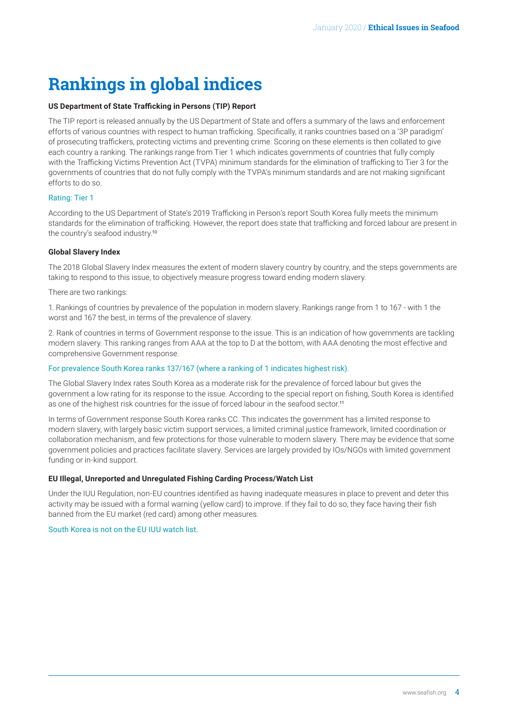# <span id="page-3-0"></span>**Rankings in global indices**

#### **US Department of State Trafficking in Persons (TIP) Report**

The TIP report is released annually by the US Department of State and offers a summary of the laws and enforcement efforts of various countries with respect to human trafficking. Specifically, it ranks countries based on a '3P paradigm' of prosecuting traffickers, protecting victims and preventing crime. Scoring on these elements is then collated to give each country a ranking. The rankings range from Tier 1 which indicates governments of countries that fully comply with the Trafficking Victims Prevention Act (TVPA) minimum standards for the elimination of trafficking to Tier 3 for the governments of countries that do not fully comply with the TVPA's minimum standards and are not making significant efforts to do so.

#### Rating: Tier 1

According to the US Department of State's 2019 Trafficking in Person's report South Korea fully meets the minimum standards for the elimination of trafficking. However, the report does state that trafficking and forced labour are present in the country's seafood industry.[10](#page-4-0)

#### **Global Slavery Index**

The 2018 Global Slavery Index measures the extent of modern slavery country by country, and the steps governments are taking to respond to this issue, to objectively measure progress toward ending modern slavery.

There are two rankings:

1. Rankings of countries by prevalence of the population in modern slavery. Rankings range from 1 to 167 - with 1 the worst and 167 the best, in terms of the prevalence of slavery.

2. Rank of countries in terms of Government response to the issue. This is an indication of how governments are tackling modern slavery. This ranking ranges from AAA at the top to D at the bottom, with AAA denoting the most effective and comprehensive Government response.

#### For prevalence South Korea ranks 137/167 (where a ranking of 1 indicates highest risk).

The Global Slavery Index rates South Korea as a moderate risk for the prevalence of forced labour but gives the government a low rating for its response to the issue. According to the special report on fishing, South Korea is identified as one of the highest risk countries for the issue of forced labour in the seafood sector.<sup>[11](#page-4-0)</sup>

In terms of Government response South Korea ranks CC. This indicates the government has a limited response to modern slavery, with largely basic victim support services, a limited criminal justice framework, limited coordination or collaboration mechanism, and few protections for those vulnerable to modern slavery. There may be evidence that some government policies and practices facilitate slavery. Services are largely provided by IOs/NGOs with limited government funding or in-kind support.

#### **EU Illegal, Unreported and Unregulated Fishing Carding Process/Watch List**

Under the IUU Regulation, non-EU countries identified as having inadequate measures in place to prevent and deter this activity may be issued with a formal warning (yellow card) to improve. If they fail to do so, they face having their fish banned from the EU market (red card) among other measures.

South Korea is not on the EU IUU watch list.